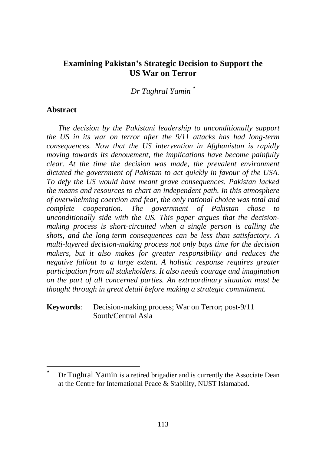# **Examining Pakistan's Strategic Decision to Support the US War on Terror**

*Dr Tughral Yamin \**

## **Abstract**

 $\overline{a}$ 

*The decision by the Pakistani leadership to unconditionally support the US in its war on terror after the 9/11 attacks has had long-term consequences. Now that the US intervention in Afghanistan is rapidly moving towards its denouement, the implications have become painfully clear. At the time the decision was made, the prevalent environment dictated the government of Pakistan to act quickly in favour of the USA. To defy the US would have meant grave consequences. Pakistan lacked the means and resources to chart an independent path. In this atmosphere of overwhelming coercion and fear, the only rational choice was total and complete cooperation. The government of Pakistan chose to unconditionally side with the US. This paper argues that the decisionmaking process is short-circuited when a single person is calling the shots, and the long-term consequences can be less than satisfactory. A multi-layered decision-making process not only buys time for the decision makers, but it also makes for greater responsibility and reduces the negative fallout to a large extent. A holistic response requires greater participation from all stakeholders. It also needs courage and imagination on the part of all concerned parties. An extraordinary situation must be thought through in great detail before making a strategic commitment.*

**Keywords**: Decision-making process; War on Terror; post-9/11 South/Central Asia

Dr Tughral Yamin is a retired brigadier and is currently the Associate Dean at the Centre for International Peace & Stability, NUST Islamabad.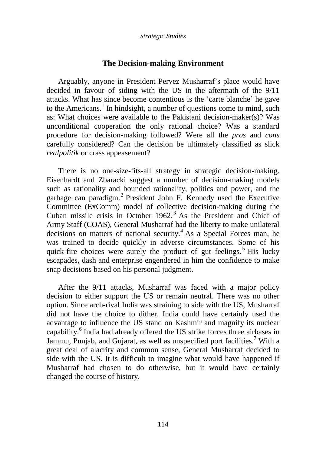## **The Decision-making Environment**

Arguably, anyone in President Pervez Musharraf"s place would have decided in favour of siding with the US in the aftermath of the 9/11 attacks. What has since become contentious is the "carte blanche" he gave to the Americans.<sup>1</sup> In hindsight, a number of questions come to mind, such as: What choices were available to the Pakistani decision-maker(s)? Was unconditional cooperation the only rational choice? Was a standard procedure for decision-making followed? Were all the *pros* and *cons* carefully considered? Can the decision be ultimately classified as slick *realpolitik* or crass appeasement?

There is no one-size-fits-all strategy in strategic decision-making. Eisenhardt and Zbaracki suggest a number of decision-making models such as rationality and bounded rationality, politics and power, and the garbage can paradigm.<sup>2</sup> President John F. Kennedy used the Executive Committee (ExComm) model of collective decision-making during the Cuban missile crisis in October 1962.<sup>3</sup> As the President and Chief of Army Staff (COAS), General Musharraf had the liberty to make unilateral decisions on matters of national security.<sup>4</sup> As a Special Forces man, he was trained to decide quickly in adverse circumstances. Some of his quick-fire choices were surely the product of gut feelings.<sup>5</sup> His lucky escapades, dash and enterprise engendered in him the confidence to make snap decisions based on his personal judgment.

After the 9/11 attacks, Musharraf was faced with a major policy decision to either support the US or remain neutral. There was no other option. Since arch-rival India was straining to side with the US, Musharraf did not have the choice to dither. India could have certainly used the advantage to influence the US stand on Kashmir and magnify its nuclear capability.<sup>6</sup> India had already offered the US strike forces three airbases in Jammu, Punjab, and Gujarat, as well as unspecified port facilities.<sup>7</sup> With a great deal of alacrity and common sense, General Musharraf decided to side with the US. It is difficult to imagine what would have happened if Musharraf had chosen to do otherwise, but it would have certainly changed the course of history.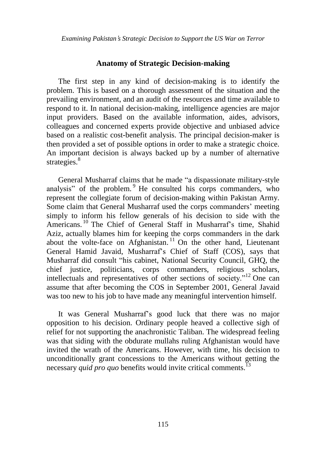### **Anatomy of Strategic Decision-making**

The first step in any kind of decision-making is to identify the problem. This is based on a thorough assessment of the situation and the prevailing environment, and an audit of the resources and time available to respond to it. In national decision-making, intelligence agencies are major input providers. Based on the available information, aides, advisors, colleagues and concerned experts provide objective and unbiased advice based on a realistic cost-benefit analysis. The principal decision-maker is then provided a set of possible options in order to make a strategic choice. An important decision is always backed up by a number of alternative strategies. $8^8$ 

General Musharraf claims that he made "a dispassionate military-style analysis" of the problem.<sup>9</sup> He consulted his corps commanders, who represent the collegiate forum of decision-making within Pakistan Army. Some claim that General Musharraf used the corps commanders' meeting simply to inform his fellow generals of his decision to side with the Americans.<sup>10</sup> The Chief of General Staff in Musharraf's time, Shahid Aziz, actually blames him for keeping the corps commanders in the dark about the volte-face on Afghanistan.<sup>11</sup> On the other hand, Lieutenant General Hamid Javaid, Musharraf"s Chief of Staff (COS), says that Musharraf did consult "his cabinet, National Security Council, GHQ, the chief justice, politicians, corps commanders, religious scholars, intellectuals and representatives of other sections of society."<sup>12</sup> One can assume that after becoming the COS in September 2001, General Javaid was too new to his job to have made any meaningful intervention himself.

It was General Musharraf"s good luck that there was no major opposition to his decision. Ordinary people heaved a collective sigh of relief for not supporting the anachronistic Taliban. The widespread feeling was that siding with the obdurate mullahs ruling Afghanistan would have invited the wrath of the Americans. However, with time, his decision to unconditionally grant concessions to the Americans without getting the necessary *quid pro quo* benefits would invite critical comments.<sup>13</sup>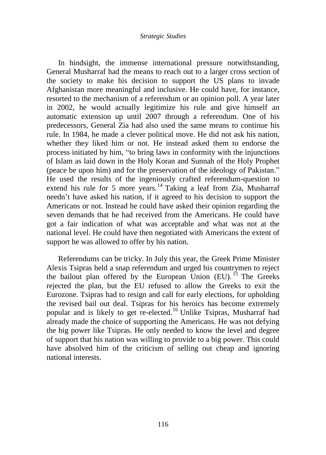#### *Strategic Studies*

In hindsight, the immense international pressure notwithstanding, General Musharraf had the means to reach out to a larger cross section of the society to make his decision to support the US plans to invade Afghanistan more meaningful and inclusive. He could have, for instance, resorted to the mechanism of a referendum or an opinion poll. A year later in 2002, he would actually legitimize his rule and give himself an automatic extension up until 2007 through a referendum. One of his predecessors, General Zia had also used the same means to continue his rule. In 1984, he made a clever political move. He did not ask his nation, whether they liked him or not. He instead asked them to endorse the process initiated by him, "to bring laws in conformity with the injunctions of Islam as laid down in the Holy Koran and Sunnah of the Holy Prophet (peace be upon him) and for the preservation of the ideology of Pakistan." He used the results of the ingeniously crafted referendum-question to extend his rule for 5 more years.<sup>14</sup> Taking a leaf from Zia, Musharraf needn"t have asked his nation, if it agreed to his decision to support the Americans or not. Instead he could have asked their opinion regarding the seven demands that he had received from the Americans. He could have got a fair indication of what was acceptable and what was not at the national level. He could have then negotiated with Americans the extent of support he was allowed to offer by his nation.

Referendums can be tricky. In July this year, the Greek Prime Minister Alexis Tsipras held a snap referendum and urged his countrymen to reject the bailout plan offered by the European Union  $(EU)$ . <sup>15</sup> The Greeks rejected the plan, but the EU refused to allow the Greeks to exit the Eurozone. Tsipras had to resign and call for early elections, for upholding the revised bail out deal. Tsipras for his heroics has become extremely popular and is likely to get re-elected.<sup>16</sup> Unlike Tsipras, Musharraf had already made the choice of supporting the Americans. He was not defying the big power like Tsipras. He only needed to know the level and degree of support that his nation was willing to provide to a big power. This could have absolved him of the criticism of selling out cheap and ignoring national interests.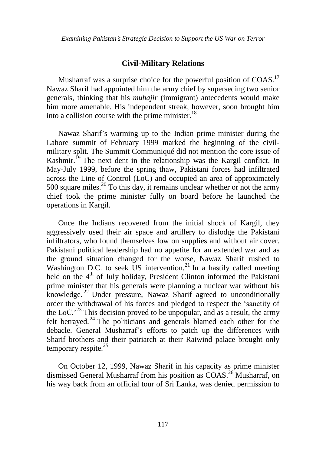## **Civil-Military Relations**

Musharraf was a surprise choice for the powerful position of COAS.<sup>17</sup> Nawaz Sharif had appointed him the army chief by superseding two senior generals, thinking that his *muhajir* (immigrant) antecedents would make him more amenable. His independent streak, however, soon brought him into a collision course with the prime minister. $^{18}$ 

Nawaz Sharif"s warming up to the Indian prime minister during the Lahore summit of February 1999 marked the beginning of the civilmilitary split. The Summit Communiqué did not mention the core issue of Kashmir.<sup>19</sup> The next dent in the relationship was the Kargil conflict. In May-July 1999, before the spring thaw, Pakistani forces had infiltrated across the Line of Control (LoC) and occupied an area of approximately 500 square miles.<sup>20</sup> To this day, it remains unclear whether or not the army chief took the prime minister fully on board before he launched the operations in Kargil.

Once the Indians recovered from the initial shock of Kargil, they aggressively used their air space and artillery to dislodge the Pakistani infiltrators, who found themselves low on supplies and without air cover. Pakistani political leadership had no appetite for an extended war and as the ground situation changed for the worse, Nawaz Sharif rushed to Washington D.C. to seek US intervention.<sup>21</sup> In a hastily called meeting held on the 4<sup>th</sup> of July holiday, President Clinton informed the Pakistani prime minister that his generals were planning a nuclear war without his knowledge. <sup>22</sup> Under pressure, Nawaz Sharif agreed to unconditionally order the withdrawal of his forces and pledged to respect the "sanctity of the LoC.<sup>23</sup> This decision proved to be unpopular, and as a result, the army felt betrayed.<sup>24</sup> The politicians and generals blamed each other for the debacle. General Musharraf"s efforts to patch up the differences with Sharif brothers and their patriarch at their Raiwind palace brought only temporary respite. $25$ 

On October 12, 1999, Nawaz Sharif in his capacity as prime minister dismissed General Musharraf from his position as COAS.<sup>26</sup> Musharraf, on his way back from an official tour of Sri Lanka, was denied permission to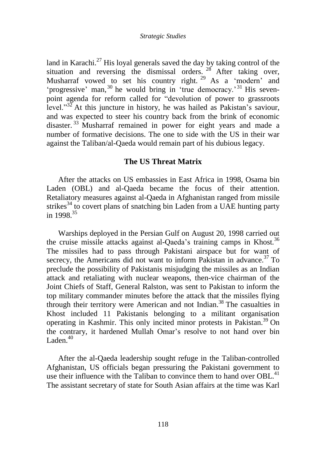land in Karachi.<sup>27</sup> His loyal generals saved the day by taking control of the situation and reversing the dismissal orders.  $^{28}$  After taking over, Musharraf vowed to set his country right.<sup>29</sup> As a 'modern' and 'progressive' man,<sup>30</sup> he would bring in 'true democracy.'<sup>31</sup> His sevenpoint agenda for reform called for "devolution of power to grassroots level."<sup>32</sup> At this juncture in history, he was hailed as Pakistan's saviour, and was expected to steer his country back from the brink of economic disaster.<sup>33</sup> Musharraf remained in power for eight years and made a number of formative decisions. The one to side with the US in their war against the Taliban/al-Qaeda would remain part of his dubious legacy.

### **The US Threat Matrix**

After the attacks on US embassies in East Africa in 1998, Osama bin Laden (OBL) and al-Qaeda became the focus of their attention. Retaliatory measures against al-Qaeda in Afghanistan ranged from missile strikes<sup>34</sup> to covert plans of snatching bin Laden from a UAE hunting party in 1998.<sup>35</sup>

Warships deployed in the Persian Gulf on August 20, 1998 carried out the cruise missile attacks against al-Qaeda's training camps in Khost.<sup>36</sup> The missiles had to pass through Pakistani airspace but for want of secrecy, the Americans did not want to inform Pakistan in advance.<sup>37</sup> To preclude the possibility of Pakistanis misjudging the missiles as an Indian attack and retaliating with nuclear weapons, then-vice chairman of the Joint Chiefs of Staff, General Ralston, was sent to Pakistan to inform the top military commander minutes before the attack that the missiles flying through their territory were American and not Indian.<sup>38</sup> The casualties in Khost included 11 Pakistanis belonging to a militant organisation operating in Kashmir. This only incited minor protests in Pakistan.<sup>39</sup> On the contrary, it hardened Mullah Omar"s resolve to not hand over bin Laden. $40$ 

After the al-Qaeda leadership sought refuge in the Taliban-controlled Afghanistan, US officials began pressuring the Pakistani government to use their influence with the Taliban to convince them to hand over  $OBL<sup>41</sup>$ The assistant secretary of state for South Asian affairs at the time was Karl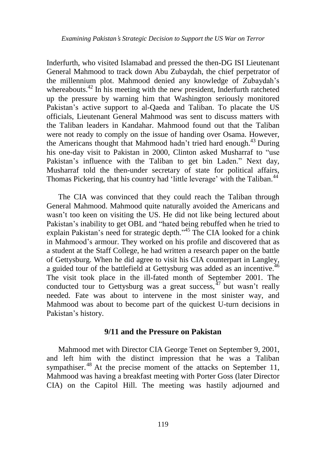Inderfurth, who visited Islamabad and pressed the then-DG ISI Lieutenant General Mahmood to track down Abu Zubaydah, the chief perpetrator of the millennium plot. Mahmood denied any knowledge of Zubaydah"s whereabouts.<sup>42</sup> In his meeting with the new president, Inderfurth ratcheted up the pressure by warning him that Washington seriously monitored Pakistan's active support to al-Qaeda and Taliban. To placate the US officials, Lieutenant General Mahmood was sent to discuss matters with the Taliban leaders in Kandahar. Mahmood found out that the Taliban were not ready to comply on the issue of handing over Osama. However, the Americans thought that Mahmood hadn't tried hard enough.<sup>43</sup> During his one-day visit to Pakistan in 2000, Clinton asked Musharraf to "use Pakistan's influence with the Taliban to get bin Laden." Next day, Musharraf told the then-under secretary of state for political affairs, Thomas Pickering, that his country had 'little leverage' with the Taliban.<sup>44</sup>

The CIA was convinced that they could reach the Taliban through General Mahmood. Mahmood quite naturally avoided the Americans and wasn"t too keen on visiting the US. He did not like being lectured about Pakistan's inability to get OBL and "hated being rebuffed when he tried to explain Pakistan's need for strategic depth."<sup>45</sup> The CIA looked for a chink in Mahmood"s armour. They worked on his profile and discovered that as a student at the Staff College, he had written a research paper on the battle of Gettysburg. When he did agree to visit his CIA counterpart in Langley, a guided tour of the battlefield at Gettysburg was added as an incentive.<sup>46</sup> The visit took place in the ill-fated month of September 2001. The conducted tour to Gettysburg was a great success,  $^{47}$  but wasn't really needed. Fate was about to intervene in the most sinister way, and Mahmood was about to become part of the quickest U-turn decisions in Pakistan's history.

### **9/11 and the Pressure on Pakistan**

Mahmood met with Director CIA George Tenet on September 9, 2001, and left him with the distinct impression that he was a Taliban sympathiser.<sup>48</sup> At the precise moment of the attacks on September 11, Mahmood was having a breakfast meeting with Porter Goss (later Director CIA) on the Capitol Hill. The meeting was hastily adjourned and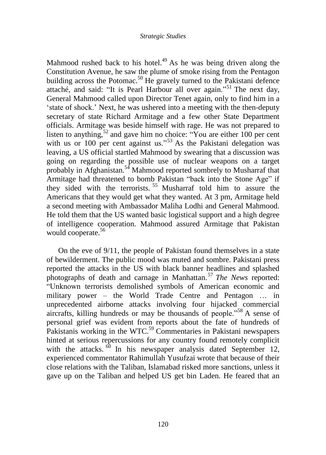#### *Strategic Studies*

Mahmood rushed back to his hotel.<sup>49</sup> As he was being driven along the Constitution Avenue, he saw the plume of smoke rising from the Pentagon building across the Potomac.<sup>50</sup> He gravely turned to the Pakistani defence attaché, and said: "It is Pearl Harbour all over again."<sup>51</sup> The next day, General Mahmood called upon Director Tenet again, only to find him in a "state of shock." Next, he was ushered into a meeting with the then-deputy secretary of state Richard Armitage and a few other State Department officials. Armitage was beside himself with rage. He was not prepared to listen to anything,<sup>52</sup> and gave him no choice: "You are either  $100$  per cent with us or 100 per cent against us."<sup>53</sup> As the Pakistani delegation was leaving, a US official startled Mahmood by swearing that a discussion was going on regarding the possible use of nuclear weapons on a target probably in Afghanistan.<sup>54</sup> Mahmood reported sombrely to Musharraf that Armitage had threatened to bomb Pakistan "back into the Stone Age" if they sided with the terrorists.  $55$  Musharraf told him to assure the Americans that they would get what they wanted. At 3 pm, Armitage held a second meeting with Ambassador Maliha Lodhi and General Mahmood. He told them that the US wanted basic logistical support and a high degree of intelligence cooperation. Mahmood assured Armitage that Pakistan would cooperate.<sup>56</sup>

On the eve of 9/11, the people of Pakistan found themselves in a state of bewilderment. The public mood was muted and sombre. Pakistani press reported the attacks in the US with black banner headlines and splashed photographs of death and carnage in Manhattan. <sup>57</sup> *The News* reported: "Unknown terrorists demolished symbols of American economic and military power – the World Trade Centre and Pentagon … in unprecedented airborne attacks involving four hijacked commercial aircrafts, killing hundreds or may be thousands of people."<sup>58</sup> A sense of personal grief was evident from reports about the fate of hundreds of Pakistanis working in the WTC.<sup>59</sup> Commentaries in Pakistani newspapers hinted at serious repercussions for any country found remotely complicit with the attacks.  $\frac{60}{1}$  In his newspaper analysis dated September 12, experienced commentator Rahimullah Yusufzai wrote that because of their close relations with the Taliban, Islamabad risked more sanctions, unless it gave up on the Taliban and helped US get bin Laden. He feared that an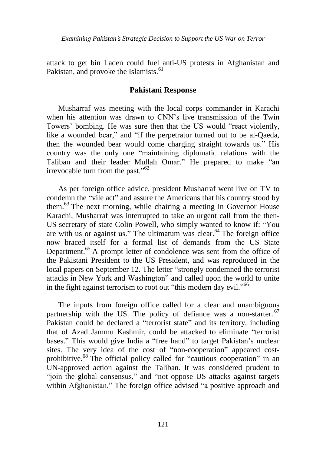attack to get bin Laden could fuel anti-US protests in Afghanistan and Pakistan, and provoke the Islamists.<sup>61</sup>

## **Pakistani Response**

Musharraf was meeting with the local corps commander in Karachi when his attention was drawn to CNN"s live transmission of the Twin Towers" bombing. He was sure then that the US would "react violently, like a wounded bear," and "if the perpetrator turned out to be al-Qaeda, then the wounded bear would come charging straight towards us." His country was the only one "maintaining diplomatic relations with the Taliban and their leader Mullah Omar." He prepared to make "an irrevocable turn from the past."<sup>62</sup>

As per foreign office advice, president Musharraf went live on TV to condemn the "vile act" and assure the Americans that his country stood by them.<sup>63</sup> The next morning, while chairing a meeting in Governor House Karachi, Musharraf was interrupted to take an urgent call from the then-US secretary of state Colin Powell, who simply wanted to know if: "You are with us or against us." The ultimatum was clear. $64$  The foreign office now braced itself for a formal list of demands from the US State Department.<sup>65</sup> A prompt letter of condolence was sent from the office of the Pakistani President to the US President, and was reproduced in the local papers on September 12. The letter "strongly condemned the terrorist attacks in New York and Washington" and called upon the world to unite in the fight against terrorism to root out "this modern day evil."<sup>66</sup>

The inputs from foreign office called for a clear and unambiguous partnership with the US. The policy of defiance was a non-starter. <sup>67</sup> Pakistan could be declared a "terrorist state" and its territory, including that of Azad Jammu Kashmir, could be attacked to eliminate "terrorist bases." This would give India a "free hand" to target Pakistan's nuclear sites. The very idea of the cost of "non-cooperation" appeared costprohibitive.<sup>68</sup> The official policy called for "cautious cooperation" in an UN-approved action against the Taliban. It was considered prudent to "join the global consensus," and "not oppose US attacks against targets within Afghanistan." The foreign office advised "a positive approach and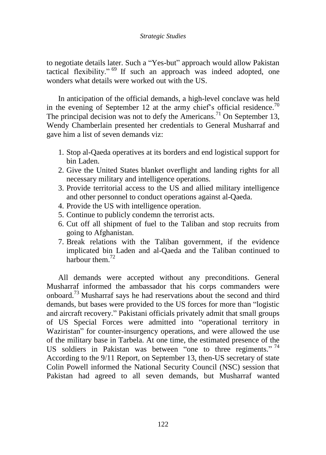### *Strategic Studies*

to negotiate details later. Such a "Yes-but" approach would allow Pakistan tactical flexibility."  $69$  If such an approach was indeed adopted, one wonders what details were worked out with the US.

In anticipation of the official demands, a high-level conclave was held in the evening of September 12 at the army chief's official residence.<sup>70</sup> The principal decision was not to defy the Americans.<sup>71</sup> On September 13, Wendy Chamberlain presented her credentials to General Musharraf and gave him a list of seven demands viz:

- 1. Stop al-Qaeda operatives at its borders and end logistical support for bin Laden.
- 2. Give the United States blanket overflight and landing rights for all necessary military and intelligence operations.
- 3. Provide territorial access to the US and allied military intelligence and other personnel to conduct operations against al-Qaeda.
- 4. Provide the US with intelligence operation.
- 5. Continue to publicly condemn the terrorist acts.
- 6. Cut off all shipment of fuel to the Taliban and stop recruits from going to Afghanistan.
- 7. Break relations with the Taliban government, if the evidence implicated bin Laden and al-Qaeda and the Taliban continued to harbour them  $^{72}$

All demands were accepted without any preconditions. General Musharraf informed the ambassador that his corps commanders were onboard.<sup>73</sup> Musharraf says he had reservations about the second and third demands, but bases were provided to the US forces for more than "logistic and aircraft recovery." Pakistani officials privately admit that small groups of US Special Forces were admitted into "operational territory in Waziristan" for counter-insurgency operations, and were allowed the use of the military base in Tarbela. At one time, the estimated presence of the US soldiers in Pakistan was between "one to three regiments."<sup>74</sup> According to the 9/11 Report, on September 13, then-US secretary of state Colin Powell informed the National Security Council (NSC) session that Pakistan had agreed to all seven demands, but Musharraf wanted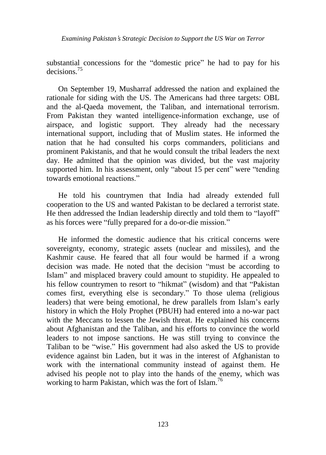*Examining Pakistan*'*s Strategic Decision to Support the US War on Terror*

substantial concessions for the "domestic price" he had to pay for his decisions.<sup>75</sup>

On September 19, Musharraf addressed the nation and explained the rationale for siding with the US. The Americans had three targets: OBL and the al-Qaeda movement, the Taliban, and international terrorism. From Pakistan they wanted intelligence-information exchange, use of airspace, and logistic support. They already had the necessary international support, including that of Muslim states. He informed the nation that he had consulted his corps commanders, politicians and prominent Pakistanis, and that he would consult the tribal leaders the next day. He admitted that the opinion was divided, but the vast majority supported him. In his assessment, only "about 15 per cent" were "tending towards emotional reactions."

He told his countrymen that India had already extended full cooperation to the US and wanted Pakistan to be declared a terrorist state. He then addressed the Indian leadership directly and told them to "layoff" as his forces were "fully prepared for a do-or-die mission."

He informed the domestic audience that his critical concerns were sovereignty, economy, strategic assets (nuclear and missiles), and the Kashmir cause. He feared that all four would be harmed if a wrong decision was made. He noted that the decision "must be according to Islam" and misplaced bravery could amount to stupidity. He appealed to his fellow countrymen to resort to "hikmat" (wisdom) and that "Pakistan comes first, everything else is secondary." To those ulema (religious leaders) that were being emotional, he drew parallels from Islam"s early history in which the Holy Prophet (PBUH) had entered into a no-war pact with the Meccans to lessen the Jewish threat. He explained his concerns about Afghanistan and the Taliban, and his efforts to convince the world leaders to not impose sanctions. He was still trying to convince the Taliban to be "wise." His government had also asked the US to provide evidence against bin Laden, but it was in the interest of Afghanistan to work with the international community instead of against them. He advised his people not to play into the hands of the enemy, which was working to harm Pakistan, which was the fort of Islam.<sup>76</sup>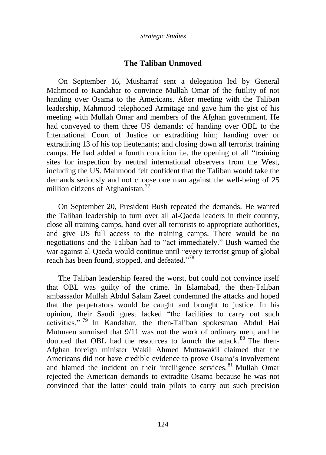### **The Taliban Unmoved**

On September 16, Musharraf sent a delegation led by General Mahmood to Kandahar to convince Mullah Omar of the futility of not handing over Osama to the Americans. After meeting with the Taliban leadership, Mahmood telephoned Armitage and gave him the gist of his meeting with Mullah Omar and members of the Afghan government. He had conveyed to them three US demands: of handing over OBL to the International Court of Justice or extraditing him; handing over or extraditing 13 of his top lieutenants; and closing down all terrorist training camps. He had added a fourth condition i.e. the opening of all "training sites for inspection by neutral international observers from the West, including the US. Mahmood felt confident that the Taliban would take the demands seriously and not choose one man against the well-being of 25 million citizens of Afghanistan.<sup>77</sup>

On September 20, President Bush repeated the demands. He wanted the Taliban leadership to turn over all al-Qaeda leaders in their country, close all training camps, hand over all terrorists to appropriate authorities, and give US full access to the training camps. There would be no negotiations and the Taliban had to "act immediately." Bush warned the war against al-Qaeda would continue until "every terrorist group of global reach has been found, stopped, and defeated."<sup>78</sup>

The Taliban leadership feared the worst, but could not convince itself that OBL was guilty of the crime. In Islamabad, the then-Taliban ambassador Mullah Abdul Salam Zaeef condemned the attacks and hoped that the perpetrators would be caught and brought to justice. In his opinion, their Saudi guest lacked "the facilities to carry out such activities." <sup>79</sup> In Kandahar, the then-Taliban spokesman Abdul Hai Mutmaen surmised that 9/11 was not the work of ordinary men, and he doubted that OBL had the resources to launch the attack.<sup>80</sup> The then-Afghan foreign minister Wakil Ahmed Muttawakil claimed that the Americans did not have credible evidence to prove Osama"s involvement and blamed the incident on their intelligence services.<sup>81</sup> Mullah Omar rejected the American demands to extradite Osama because he was not convinced that the latter could train pilots to carry out such precision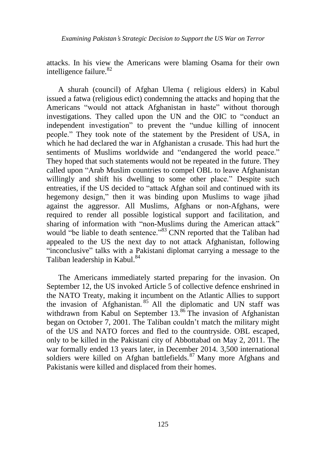attacks. In his view the Americans were blaming Osama for their own intelligence failure.<sup>82</sup>

A shurah (council) of Afghan Ulema ( religious elders) in Kabul issued a fatwa (religious edict) condemning the attacks and hoping that the Americans "would not attack Afghanistan in haste" without thorough investigations. They called upon the UN and the OIC to "conduct an independent investigation" to prevent the "undue killing of innocent people." They took note of the statement by the President of USA, in which he had declared the war in Afghanistan a crusade. This had hurt the sentiments of Muslims worldwide and "endangered the world peace." They hoped that such statements would not be repeated in the future. They called upon "Arab Muslim countries to compel OBL to leave Afghanistan willingly and shift his dwelling to some other place." Despite such entreaties, if the US decided to "attack Afghan soil and continued with its hegemony design," then it was binding upon Muslims to wage jihad against the aggressor. All Muslims, Afghans or non-Afghans, were required to render all possible logistical support and facilitation, and sharing of information with "non-Muslims during the American attack" would "be liable to death sentence."<sup>83</sup> CNN reported that the Taliban had appealed to the US the next day to not attack Afghanistan, following "inconclusive" talks with a Pakistani diplomat carrying a message to the Taliban leadership in Kabul.<sup>84</sup>

The Americans immediately started preparing for the invasion. On September 12, the US invoked Article 5 of collective defence enshrined in the NATO Treaty, making it incumbent on the Atlantic Allies to support the invasion of Afghanistan. <sup>85</sup> All the diplomatic and UN staff was withdrawn from Kabul on September  $13.^{86}$  The invasion of Afghanistan began on October 7, 2001. The Taliban couldn"t match the military might of the US and NATO forces and fled to the countryside. OBL escaped, only to be killed in the Pakistani city of Abbottabad on May 2, 2011. The war formally ended 13 years later, in December 2014. 3,500 international soldiers were killed on Afghan battlefields.<sup>87</sup> Many more Afghans and Pakistanis were killed and displaced from their homes.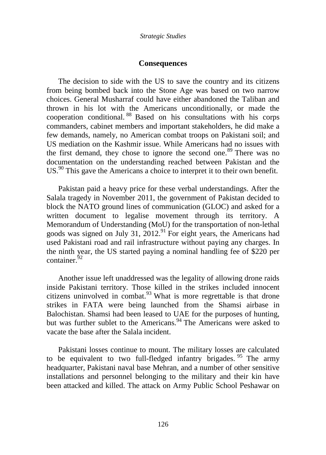### **Consequences**

The decision to side with the US to save the country and its citizens from being bombed back into the Stone Age was based on two narrow choices. General Musharraf could have either abandoned the Taliban and thrown in his lot with the Americans unconditionally, or made the cooperation conditional. <sup>88</sup> Based on his consultations with his corps commanders, cabinet members and important stakeholders, he did make a few demands, namely, no American combat troops on Pakistani soil; and US mediation on the Kashmir issue. While Americans had no issues with the first demand, they chose to ignore the second one.<sup>89</sup> There was no documentation on the understanding reached between Pakistan and the US.<sup>90</sup> This gave the Americans a choice to interpret it to their own benefit.

Pakistan paid a heavy price for these verbal understandings. After the Salala tragedy in November 2011, the government of Pakistan decided to block the NATO ground lines of communication (GLOC) and asked for a written document to legalise movement through its territory. A Memorandum of Understanding (MoU) for the transportation of non-lethal goods was signed on July 31,  $2012<sup>91</sup>$  For eight years, the Americans had used Pakistani road and rail infrastructure without paying any charges. In the ninth year, the US started paying a nominal handling fee of \$220 per container.<sup>92</sup>

Another issue left unaddressed was the legality of allowing drone raids inside Pakistani territory. Those killed in the strikes included innocent citizens uninvolved in combat. $93$  What is more regrettable is that drone strikes in FATA were being launched from the Shamsi airbase in Balochistan. Shamsi had been leased to UAE for the purposes of hunting, but was further sublet to the Americans.<sup>94</sup> The Americans were asked to vacate the base after the Salala incident.

Pakistani losses continue to mount. The military losses are calculated to be equivalent to two full-fledged infantry brigades.<sup>95</sup> The army headquarter, Pakistani naval base Mehran, and a number of other sensitive installations and personnel belonging to the military and their kin have been attacked and killed. The attack on Army Public School Peshawar on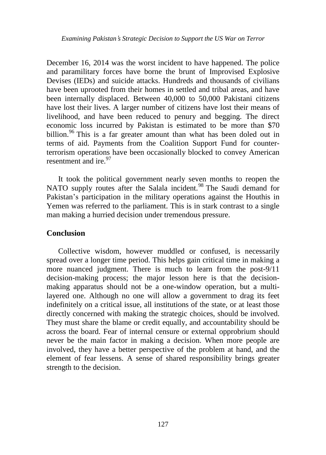December 16, 2014 was the worst incident to have happened. The police and paramilitary forces have borne the brunt of Improvised Explosive Devises (IEDs) and suicide attacks. Hundreds and thousands of civilians have been uprooted from their homes in settled and tribal areas, and have been internally displaced. Between 40,000 to 50,000 Pakistani citizens have lost their lives. A larger number of citizens have lost their means of livelihood, and have been reduced to penury and begging. The direct economic loss incurred by Pakistan is estimated to be more than \$70 billion.<sup>96</sup> This is a far greater amount than what has been doled out in terms of aid. Payments from the Coalition Support Fund for counterterrorism operations have been occasionally blocked to convey American resentment and ire. $97$ 

It took the political government nearly seven months to reopen the NATO supply routes after the Salala incident.<sup>98</sup> The Saudi demand for Pakistan's participation in the military operations against the Houthis in Yemen was referred to the parliament. This is in stark contrast to a single man making a hurried decision under tremendous pressure.

## **Conclusion**

Collective wisdom, however muddled or confused, is necessarily spread over a longer time period. This helps gain critical time in making a more nuanced judgment. There is much to learn from the post-9/11 decision-making process; the major lesson here is that the decisionmaking apparatus should not be a one-window operation, but a multilayered one. Although no one will allow a government to drag its feet indefinitely on a critical issue, all institutions of the state, or at least those directly concerned with making the strategic choices, should be involved. They must share the blame or credit equally, and accountability should be across the board. Fear of internal censure or external opprobrium should never be the main factor in making a decision. When more people are involved, they have a better perspective of the problem at hand, and the element of fear lessens. A sense of shared responsibility brings greater strength to the decision.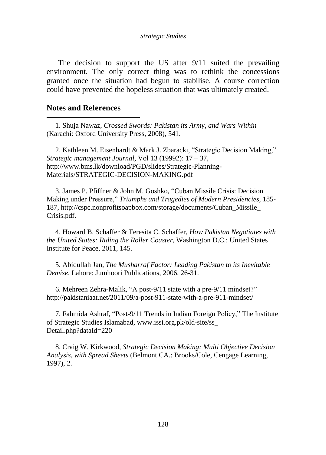#### *Strategic Studies*

The decision to support the US after 9/11 suited the prevailing environment. The only correct thing was to rethink the concessions granted once the situation had begun to stabilise. A course correction could have prevented the hopeless situation that was ultimately created.

### **Notes and References**

 $\overline{a}$ 

1. Shuja Nawaz, *Crossed Swords: Pakistan its Army, and Wars Within* (Karachi: Oxford University Press, 2008), 541.

2. Kathleen M. Eisenhardt & Mark J. Zbaracki, "Strategic Decision Making," *Strategic management Journal*, Vol 13 (19992): 17 – 37, http://www.bms.lk/download/PGD/slides/Strategic-Planning-Materials/STRATEGIC-DECISION-MAKING.pdf

3. James P. Pfiffner & John M. Goshko, "Cuban Missile Crisis: Decision Making under Pressure," *Triumphs and Tragedies of Modern Presidencies*, 185- 187, http://cspc.nonprofitsoapbox.com/storage/documents/Cuban\_Missile\_ Crisis.pdf.

4. Howard B. Schaffer & Teresita C. Schaffer, *How Pakistan Negotiates with the United States: Riding the Roller Coaster,* Washington D.C.: United States Institute for Peace, 2011, 145.

5. Abidullah Jan, *The Musharraf Factor: Leading Pakistan to its Inevitable Demise,* Lahore: Jumhoori Publications, 2006, 26-31.

6. Mehreen Zehra-Malik, "A post-9/11 state with a pre-9/11 mindset?" http://pakistaniaat.net/2011/09/a-post-911-state-with-a-pre-911-mindset/

7. Fahmida Ashraf, "Post-9/11 Trends in Indian Foreign Policy," The Institute of Strategic Studies Islamabad, www.issi.org.pk/old-site/ss\_ Detail.php?dataId=220

8. Craig W. Kirkwood, *Strategic Decision Making: Multi Objective Decision Analysis, with Spread Sheets* (Belmont CA.: Brooks/Cole, Cengage Learning, 1997), 2.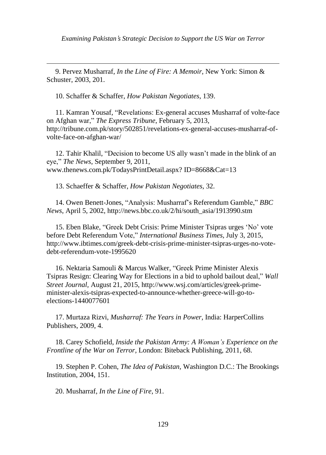*Examining Pakistan*'*s Strategic Decision to Support the US War on Terror*

9. Pervez Musharraf, *In the Line of Fire: A Memoir,* New York: Simon & Schuster, 2003, 201.

10. Schaffer & Schaffer, *How Pakistan Negotiates*, 139.

 $\overline{a}$ 

11. Kamran Yousaf, "Revelations: Ex-general accuses Musharraf of volte-face on Afghan war," *The Express Tribune*, February 5, 2013, http://tribune.com.pk/story/502851/revelations-ex-general-accuses-musharraf-ofvolte-face-on-afghan-war/

12. Tahir Khalil, "Decision to become US ally wasn"t made in the blink of an eye," *The News*, September 9, 2011, www.thenews.com.pk/TodaysPrintDetail.aspx? ID=8668&Cat=13

13. Schaeffer & Schaffer, *How Pakistan Negotiates*, 32.

14. Owen Benett-Jones, "Analysis: Musharraf"s Referendum Gamble," *BBC News*, April 5, 2002, [http://news.bbc.co.uk/2/hi/south\\_asia/1913990.stm](http://news.bbc.co.uk/2/hi/south_asia/1913990.stm)

15. Eben Blake, "Greek Debt Crisis: Prime Minister Tsipras urges "No" vote before Debt Referendum Vote," *International Business Times,* July 3, 2015, [http://www.ibtimes.com/greek-debt-crisis-prime-minister-tsipras-urges-no-vote](http://www.ibtimes.com/greek-debt-crisis-prime-minister-tsipras-urges-no-vote-debt-referendum-vote-1995620)[debt-referendum-vote-1995620](http://www.ibtimes.com/greek-debt-crisis-prime-minister-tsipras-urges-no-vote-debt-referendum-vote-1995620)

16. Nektaria Samouli & Marcus Walker, "Greek Prime Minister Alexis Tsipras Resign: Clearing Way for Elections in a bid to uphold bailout deal," *Wall Street Journal,* August 21, 2015, [http://www.wsj.com/articles/greek-prime](http://www.wsj.com/articles/greek-prime-minister-alexis-tsipras-expected-to-announce-whether-greece-will-go-to-elections-1440077601)[minister-alexis-tsipras-expected-to-announce-whether-greece-will-go-to](http://www.wsj.com/articles/greek-prime-minister-alexis-tsipras-expected-to-announce-whether-greece-will-go-to-elections-1440077601)[elections-1440077601](http://www.wsj.com/articles/greek-prime-minister-alexis-tsipras-expected-to-announce-whether-greece-will-go-to-elections-1440077601)

17. Murtaza Rizvi, *Musharraf: The Years in Power,* India: HarperCollins Publishers, 2009, 4.

18. Carey Schofield, *Inside the Pakistan Army: A Woman's Experience on the Frontline of the War on Terror,* London: Biteback Publishing, 2011, 68.

19. Stephen P. Cohen, *The Idea of Pakistan,* Washington D.C.: The Brookings Institution, 2004, 151.

20. Musharraf, *In the Line of Fire*, 91.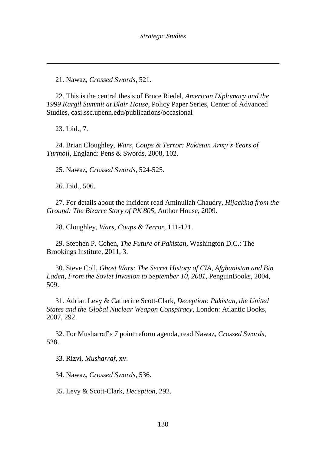21. Nawaz, *Crossed Swords*, 521.

22. This is the central thesis of Bruce Riedel, *American Diplomacy and the 1999 Kargil Summit at Blair House*, Policy Paper Series, Center of Advanced Studies, casi.ssc.upenn.edu/publications/occasional

23. Ibid., 7.

 $\overline{a}$ 

24. Brian Cloughley, *Wars, Coups & Terror: Pakistan Army's Years of Turmoil,* England: Pens & Swords, 2008, 102.

25. Nawaz, *Crossed Swords*, 524-525.

26. Ibid., 506.

27. For details about the incident read Aminullah Chaudry, *Hijacking from the Ground: The Bizarre Story of PK 805,* Author House, 2009.

28. Cloughley, *Wars, Coups & Terror*, 111-121.

29. Stephen P. Cohen, *The Future of Pakistan,* Washington D.C.: The Brookings Institute, 2011, 3.

30. Steve Coll, *Ghost Wars: The Secret History of CIA, Afghanistan and Bin Laden, From the Soviet Invasion to September 10, 2001,* PenguinBooks, 2004, 509.

31. Adrian Levy & Catherine Scott-Clark, *Deception: Pakistan, the United States and the Global Nuclear Weapon Conspiracy,* London: Atlantic Books, 2007, 292.

32. For Musharraf"s 7 point reform agenda, read Nawaz, *Crossed Swords*, 528.

33. Rizvi, *Musharraf*, xv.

34. Nawaz, *Crossed Swords*, 536.

35. Levy & Scott-Clark, *Deception*, 292.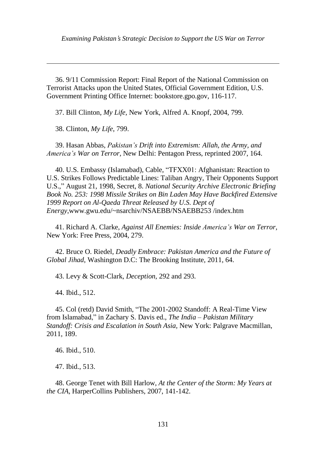36. 9/11 Commission Report: Final Report of the National Commission on Terrorist Attacks upon the United States, Official Government Edition, U.S. Government Printing Office Internet: bookstore.gpo.gov, 116-117.

37. Bill Clinton, *My Life,* New York, Alfred A. Knopf, 2004, 799.

38. Clinton, *My Life*, 799.

 $\overline{a}$ 

39. Hasan Abbas, *Pakistan's Drift into Extremism: Allah, the Army, and America's War on Terror,* New Delhi: Pentagon Press, reprinted 2007, 164.

40. U.S. Embassy (Islamabad), Cable, "TFXX01: Afghanistan: Reaction to U.S. Strikes Follows Predictable Lines: Taliban Angry, Their Opponents Support U.S.," August 21, 1998, Secret, 8. *National Security Archive Electronic Briefing Book No. 253: 1998 Missile Strikes on Bin Laden May Have Backfired Extensive 1999 Report on Al-Qaeda Threat Released by U.S. Dept of Energy*,www.gwu.edu/~nsarchiv/NSAEBB/NSAEBB253 /index.htm

41. Richard A. Clarke, *Against All Enemies: Inside America's War on Terror,* New York: Free Press, 2004, 279.

42. Bruce O. Riedel, *Deadly Embrace: Pakistan America and the Future of Global Jihad*, Washington D.C: The Brooking Institute, 2011, 64.

43. Levy & Scott-Clark, *Deception*, 292 and 293.

44. Ibid., 512.

45. Col (retd) David Smith, "The 2001-2002 Standoff: A Real-Time View from Islamabad," in Zachary S. Davis ed., *The India – Pakistan Military Standoff: Crisis and Escalation in South Asia,* New York: Palgrave Macmillan, 2011, 189.

46. Ibid., 510.

47. Ibid., 513.

48. George Tenet with Bill Harlow, *At the Center of the Storm: My Years at the CIA,* HarperCollins Publishers, 2007, 141-142.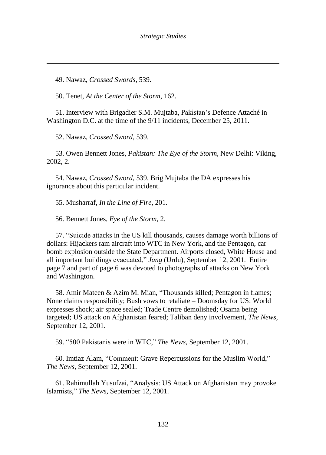49. Nawaz, *Crossed Swords*, 539.

 $\overline{a}$ 

50. Tenet, *At the Center of the Storm*, 162.

51. Interview with Brigadier S.M. Mujtaba, Pakistan"s Defence Attaché in Washington D.C. at the time of the 9/11 incidents, December 25, 2011.

52. Nawaz, *Crossed Sword*, 539.

53. Owen Bennett Jones, *Pakistan: The Eye of the Storm,* New Delhi: Viking, 2002, 2.

54. Nawaz, *Crossed Sword*, 539. Brig Mujtaba the DA expresses his ignorance about this particular incident.

55. Musharraf, *In the Line of Fire*, 201.

56. Bennett Jones, *Eye of the Storm*, 2.

57. "Suicide attacks in the US kill thousands, causes damage worth billions of dollars: Hijackers ram aircraft into WTC in New York, and the Pentagon, car bomb explosion outside the State Department. Airports closed, White House and all important buildings evacuated," *Jang* (Urdu), September 12, 2001. Entire page 7 and part of page 6 was devoted to photographs of attacks on New York and Washington.

58. Amir Mateen & Azim M. Mian, "Thousands killed; Pentagon in flames; None claims responsibility; Bush vows to retaliate – Doomsday for US: World expresses shock; air space sealed; Trade Centre demolished; Osama being targeted; US attack on Afghanistan feared; Taliban deny involvement, *The News*, September 12, 2001.

59. "500 Pakistanis were in WTC," *The News*, September 12, 2001.

60. Imtiaz Alam, "Comment: Grave Repercussions for the Muslim World," *The News*, September 12, 2001.

61. Rahimullah Yusufzai, "Analysis: US Attack on Afghanistan may provoke Islamists," *The News*, September 12, 2001.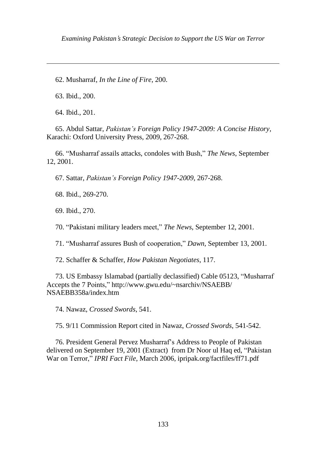*Examining Pakistan*'*s Strategic Decision to Support the US War on Terror*

62. Musharraf, *In the Line of Fire*, 200.

63. Ibid., 200.

 $\overline{a}$ 

64. Ibid., 201.

65. Abdul Sattar, *Pakistan's Foreign Policy 1947-2009: A Concise History,* Karachi: Oxford University Press, 2009, 267-268.

66. "Musharraf assails attacks, condoles with Bush," *The News*, September 12, 2001.

67. Sattar, *Pakistan's Foreign Policy 1947-2009*, 267-268.

68. Ibid., 269-270.

69. Ibid., 270.

70. "Pakistani military leaders meet," *The News*, September 12, 2001.

71. "Musharraf assures Bush of cooperation," *Dawn*, September 13, 2001.

72. Schaffer & Schaffer, *How Pakistan Negotiates*, 117.

73. US Embassy Islamabad (partially declassified) Cable 05123, "Musharraf Accepts the 7 Points," http://www.gwu.edu/~nsarchiv/NSAEBB/ NSAEBB358a/index.htm

74. Nawaz, *Crossed Swords*, 541.

75. 9/11 Commission Report cited in Nawaz, *Crossed Swords*, 541-542.

76. President General Pervez Musharraf"s Address to People of Pakistan delivered on September 19, 2001 (Extract) from Dr Noor ul Haq ed, "Pakistan War on Terror," *IPRI Fact File*, March 2006, ipripak.org/factfiles/ff71.pdf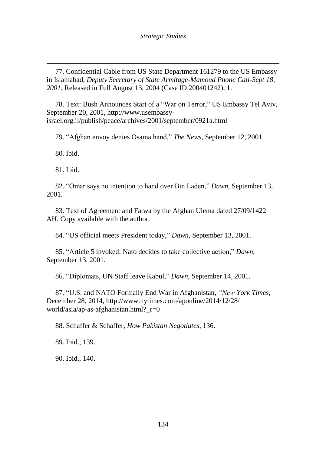77. Confidential Cable from US State Department 161279 to the US Embassy in Islamabad, *Deputy Secretary of State Armitage-Mamoud Phone Call-Sept 18, 2001*, Released in Full August 13, 2004 (Case ID 200401242), 1.

78. Text: Bush Announces Start of a "War on Terror," US Embassy Tel Aviv, September 20, 2001, http://www.usembassyisrael.org.il/publish/peace/archives/2001/september/0921a.html

79. "Afghan envoy denies Osama hand," *The News*, September 12, 2001.

80. Ibid.

 $\overline{a}$ 

81. Ibid.

82. "Omar says no intention to hand over Bin Laden," *Dawn*, September 13, 2001.

83. Text of Agreement and Fatwa by the Afghan Ulema dated 27/09/1422 AH. Copy available with the author.

84. "US official meets President today," *Dawn*, September 13, 2001.

85. "Article 5 invoked: Nato decides to take collective action," *Dawn*, September 13, 2001.

86. "Diplomats, UN Staff leave Kabul," *Dawn*, September 14, 2001.

87. "U.S. and NATO Formally End War in Afghanistan, *"New York Times*, December 28, 2014, http://www.nytimes.com/aponline/2014/12/28/ world/asia/ap-as-afghanistan.html? r=0

88. Schaffer & Schaffer, *How Pakistan Negotiates*, 136.

89. Ibid., 139.

90. Ibid., 140.